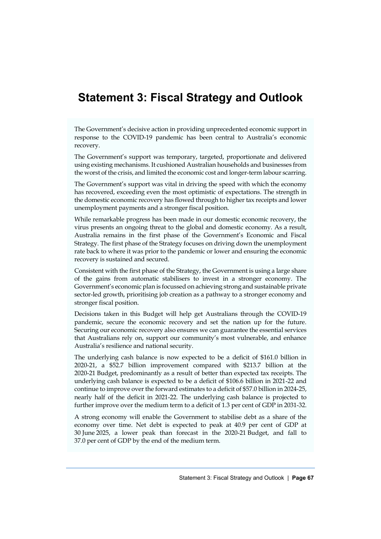# **Statement 3: Fiscal Strategy and Outlook**

The Government's decisive action in providing unprecedented economic support in response to the COVID-19 pandemic has been central to Australia's economic recovery.

The Government's support was temporary, targeted, proportionate and delivered using existing mechanisms. It cushioned Australian households and businesses from the worst of the crisis, and limited the economic cost and longer-term labour scarring.

The Government's support was vital in driving the speed with which the economy has recovered, exceeding even the most optimistic of expectations. The strength in the domestic economic recovery has flowed through to higher tax receipts and lower unemployment payments and a stronger fiscal position.

While remarkable progress has been made in our domestic economic recovery, the virus presents an ongoing threat to the global and domestic economy. As a result, Australia remains in the first phase of the Government's Economic and Fiscal Strategy. The first phase of the Strategy focuses on driving down the unemployment rate back to where it was prior to the pandemic or lower and ensuring the economic recovery is sustained and secured.

Consistent with the first phase of the Strategy, the Government is using a large share of the gains from automatic stabilisers to invest in a stronger economy. The Government's economic plan is focussed on achieving strong and sustainable private sector-led growth, prioritising job creation as a pathway to a stronger economy and stronger fiscal position.

Decisions taken in this Budget will help get Australians through the COVID-19 pandemic, secure the economic recovery and set the nation up for the future. Securing our economic recovery also ensures we can guarantee the essential services that Australians rely on, support our community's most vulnerable, and enhance Australia's resilience and national security.

The underlying cash balance is now expected to be a deficit of \$161.0 billion in 2020-21, a \$52.7 billion improvement compared with \$213.7 billion at the 2020-21 Budget, predominantly as a result of better than expected tax receipts. The underlying cash balance is expected to be a deficit of \$106.6 billion in 2021-22 and continue to improve over the forward estimates to a deficit of \$57.0 billion in 2024-25, nearly half of the deficit in 2021-22. The underlying cash balance is projected to further improve over the medium term to a deficit of 1.3 per cent of GDP in 2031-32.

A strong economy will enable the Government to stabilise debt as a share of the economy over time. Net debt is expected to peak at 40.9 per cent of GDP at 30 June 2025, a lower peak than forecast in the 2020-21 Budget, and fall to 37.0 per cent of GDP by the end of the medium term.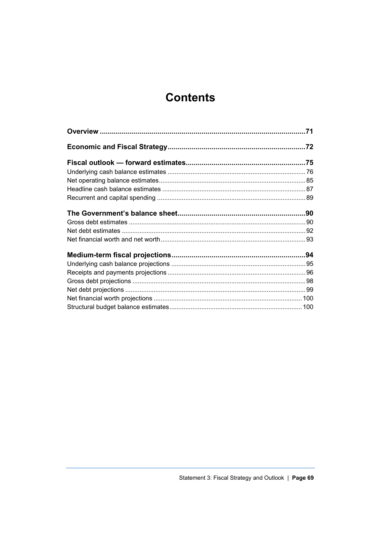# **Contents**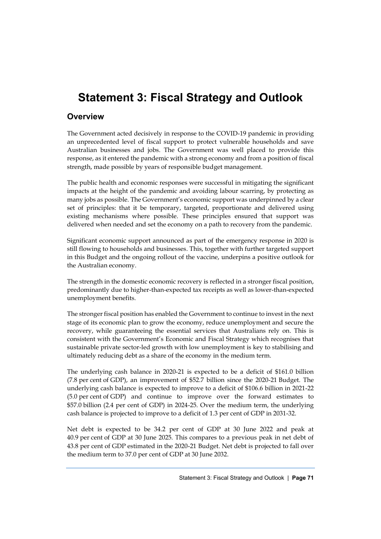# **Statement 3: Fiscal Strategy and Outlook**

# **Overview**

The Government acted decisively in response to the COVID-19 pandemic in providing an unprecedented level of fiscal support to protect vulnerable households and save Australian businesses and jobs. The Government was well placed to provide this response, as it entered the pandemic with a strong economy and from a position of fiscal strength, made possible by years of responsible budget management.

The public health and economic responses were successful in mitigating the significant impacts at the height of the pandemic and avoiding labour scarring, by protecting as many jobs as possible. The Government's economic support was underpinned by a clear set of principles: that it be temporary, targeted, proportionate and delivered using existing mechanisms where possible. These principles ensured that support was delivered when needed and set the economy on a path to recovery from the pandemic.

Significant economic support announced as part of the emergency response in 2020 is still flowing to households and businesses. This, together with further targeted support in this Budget and the ongoing rollout of the vaccine, underpins a positive outlook for the Australian economy.

The strength in the domestic economic recovery is reflected in a stronger fiscal position, predominantly due to higher-than-expected tax receipts as well as lower-than-expected unemployment benefits.

The stronger fiscal position has enabled the Government to continue to invest in the next stage of its economic plan to grow the economy, reduce unemployment and secure the recovery, while guaranteeing the essential services that Australians rely on. This is consistent with the Government's Economic and Fiscal Strategy which recognises that sustainable private sector-led growth with low unemployment is key to stabilising and ultimately reducing debt as a share of the economy in the medium term.

The underlying cash balance in 2020-21 is expected to be a deficit of \$161.0 billion (7.8 per cent of GDP), an improvement of \$52.7 billion since the 2020-21 Budget. The underlying cash balance is expected to improve to a deficit of \$106.6 billion in 2021-22 (5.0 per cent of GDP) and continue to improve over the forward estimates to \$57.0 billion (2.4 per cent of GDP) in 2024-25. Over the medium term, the underlying cash balance is projected to improve to a deficit of 1.3 per cent of GDP in 2031-32.

Net debt is expected to be 34.2 per cent of GDP at 30 June 2022 and peak at 40.9 per cent of GDP at 30 June 2025. This compares to a previous peak in net debt of 43.8 per cent of GDP estimated in the 2020-21 Budget. Net debt is projected to fall over the medium term to 37.0 per cent of GDP at 30 June 2032.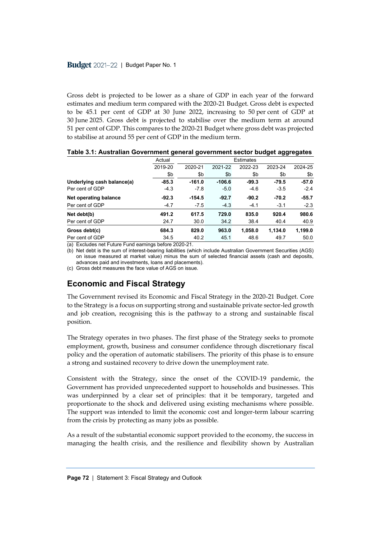Gross debt is projected to be lower as a share of GDP in each year of the forward estimates and medium term compared with the 2020-21 Budget. Gross debt is expected to be 45.1 per cent of GDP at 30 June 2022, increasing to 50 per cent of GDP at 30 June 2025. Gross debt is projected to stabilise over the medium term at around 51 per cent of GDP. This compares to the 2020-21 Budget where gross debt was projected to stabilise at around 55 per cent of GDP in the medium term.

|                            | Actual  | Estimates |          |         |         |         |
|----------------------------|---------|-----------|----------|---------|---------|---------|
|                            | 2019-20 | 2020-21   | 2021-22  | 2022-23 | 2023-24 | 2024-25 |
|                            | \$b     | \$b       | \$b      | \$b     | \$b     | \$b     |
| Underlying cash balance(a) | $-85.3$ | $-161.0$  | $-106.6$ | $-99.3$ | $-79.5$ | $-57.0$ |
| Per cent of GDP            | $-4.3$  | $-7.8$    | $-5.0$   | $-4.6$  | $-3.5$  | $-2.4$  |
| Net operating balance      | $-92.3$ | $-154.5$  | $-92.7$  | $-90.2$ | $-70.2$ | $-55.7$ |
| Per cent of GDP            | $-4.7$  | $-7.5$    | $-4.3$   | $-4.1$  | $-3.1$  | $-2.3$  |
| Net debt(b)                | 491.2   | 617.5     | 729.0    | 835.0   | 920.4   | 980.6   |
| Per cent of GDP            | 24.7    | 30.0      | 34.2     | 38.4    | 40.4    | 40.9    |
| Gross debt(c)              | 684.3   | 829.0     | 963.0    | 1,058.0 | 1,134.0 | 1,199.0 |
| Per cent of GDP            | 34.5    | 40.2      | 45.1     | 48.6    | 49.7    | 50.0    |

**Table 3.1: Australian Government general government sector budget aggregates**

(a) Excludes net Future Fund earnings before 2020-21.

(b) Net debt is the sum of interest-bearing liabilities (which include Australian Government Securities (AGS) on issue measured at market value) minus the sum of selected financial assets (cash and deposits, advances paid and investments, loans and placements).

(c) Gross debt measures the face value of AGS on issue.

# **Economic and Fiscal Strategy**

The Government revised its Economic and Fiscal Strategy in the 2020-21 Budget. Core to the Strategy is a focus on supporting strong and sustainable private sector-led growth and job creation, recognising this is the pathway to a strong and sustainable fiscal position.

The Strategy operates in two phases. The first phase of the Strategy seeks to promote employment, growth, business and consumer confidence through discretionary fiscal policy and the operation of automatic stabilisers. The priority of this phase is to ensure a strong and sustained recovery to drive down the unemployment rate.

Consistent with the Strategy, since the onset of the COVID-19 pandemic, the Government has provided unprecedented support to households and businesses. This was underpinned by a clear set of principles: that it be temporary, targeted and proportionate to the shock and delivered using existing mechanisms where possible. The support was intended to limit the economic cost and longer-term labour scarring from the crisis by protecting as many jobs as possible.

As a result of the substantial economic support provided to the economy, the success in managing the health crisis, and the resilience and flexibility shown by Australian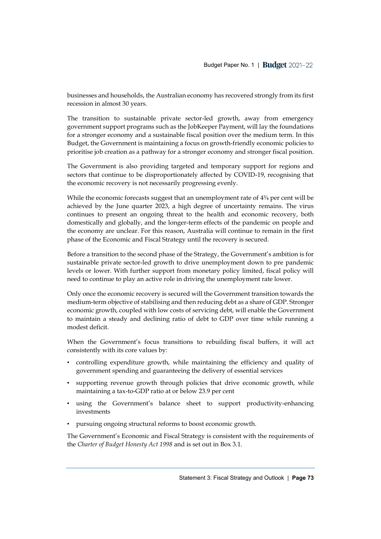businesses and households, the Australian economy has recovered strongly from its first recession in almost 30 years.

The transition to sustainable private sector-led growth, away from emergency government support programs such as the JobKeeper Payment, will lay the foundations for a stronger economy and a sustainable fiscal position over the medium term. In this Budget, the Government is maintaining a focus on growth-friendly economic policies to prioritise job creation as a pathway for a stronger economy and stronger fiscal position.

The Government is also providing targeted and temporary support for regions and sectors that continue to be disproportionately affected by COVID-19, recognising that the economic recovery is not necessarily progressing evenly.

While the economic forecasts suggest that an unemployment rate of 4¾ per cent will be achieved by the June quarter 2023, a high degree of uncertainty remains. The virus continues to present an ongoing threat to the health and economic recovery, both domestically and globally, and the longer-term effects of the pandemic on people and the economy are unclear. For this reason, Australia will continue to remain in the first phase of the Economic and Fiscal Strategy until the recovery is secured.

Before a transition to the second phase of the Strategy, the Government's ambition is for sustainable private sector-led growth to drive unemployment down to pre pandemic levels or lower. With further support from monetary policy limited, fiscal policy will need to continue to play an active role in driving the unemployment rate lower.

Only once the economic recovery is secured will the Government transition towards the medium-term objective of stabilising and then reducing debt as a share of GDP. Stronger economic growth, coupled with low costs of servicing debt, will enable the Government to maintain a steady and declining ratio of debt to GDP over time while running a modest deficit.

When the Government's focus transitions to rebuilding fiscal buffers, it will act consistently with its core values by:

- controlling expenditure growth, while maintaining the efficiency and quality of government spending and guaranteeing the delivery of essential services
- supporting revenue growth through policies that drive economic growth, while maintaining a tax-to-GDP ratio at or below 23.9 per cent
- using the Government's balance sheet to support productivity-enhancing investments
- pursuing ongoing structural reforms to boost economic growth.

The Government's Economic and Fiscal Strategy is consistent with the requirements of the *Charter of Budget Honesty Act 1998* and is set out in Box 3.1.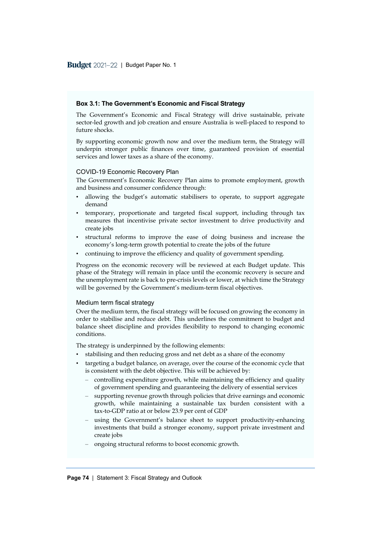#### **Box 3.1: The Government's Economic and Fiscal Strategy**

The Government's Economic and Fiscal Strategy will drive sustainable, private sector-led growth and job creation and ensure Australia is well-placed to respond to future shocks.

By supporting economic growth now and over the medium term, the Strategy will underpin stronger public finances over time, guaranteed provision of essential services and lower taxes as a share of the economy.

#### COVID-19 Economic Recovery Plan

The Government's Economic Recovery Plan aims to promote employment, growth and business and consumer confidence through:

- allowing the budget's automatic stabilisers to operate, to support aggregate demand
- temporary, proportionate and targeted fiscal support, including through tax measures that incentivise private sector investment to drive productivity and create jobs
- structural reforms to improve the ease of doing business and increase the economy's long-term growth potential to create the jobs of the future
- continuing to improve the efficiency and quality of government spending.

Progress on the economic recovery will be reviewed at each Budget update. This phase of the Strategy will remain in place until the economic recovery is secure and the unemployment rate is back to pre-crisis levels or lower, at which time the Strategy will be governed by the Government's medium-term fiscal objectives.

#### Medium term fiscal strategy

Over the medium term, the fiscal strategy will be focused on growing the economy in order to stabilise and reduce debt. This underlines the commitment to budget and balance sheet discipline and provides flexibility to respond to changing economic conditions.

The strategy is underpinned by the following elements:

- stabilising and then reducing gross and net debt as a share of the economy
- targeting a budget balance, on average, over the course of the economic cycle that is consistent with the debt objective. This will be achieved by:
	- ‒ controlling expenditure growth, while maintaining the efficiency and quality of government spending and guaranteeing the delivery of essential services
	- ‒ supporting revenue growth through policies that drive earnings and economic growth, while maintaining a sustainable tax burden consistent with a tax-to-GDP ratio at or below 23.9 per cent of GDP
	- ‒ using the Government's balance sheet to support productivity-enhancing investments that build a stronger economy, support private investment and create jobs
	- ‒ ongoing structural reforms to boost economic growth.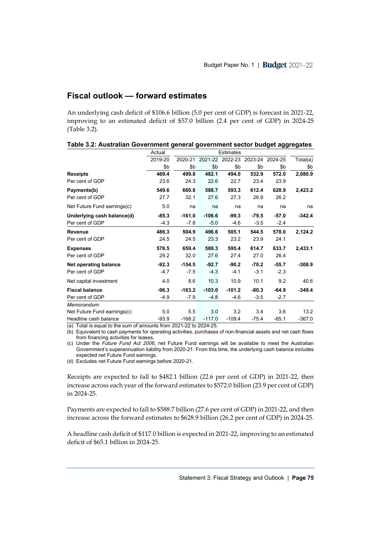# **Fiscal outlook — forward estimates**

An underlying cash deficit of \$106.6 billion (5.0 per cent of GDP) is forecast in 2021-22, improving to an estimated deficit of \$57.0 billion (2.4 per cent of GDP) in 2024-25 (Table 3.2).

|                             | Actual  |          |          | <b>Estimates</b> |         |                 |          |
|-----------------------------|---------|----------|----------|------------------|---------|-----------------|----------|
|                             | 2019-20 | 2020-21  | 2021-22  | 2022-23          |         | 2023-24 2024-25 | Total(a) |
|                             | \$b     | \$b      | \$b      | \$b              | \$b     | \$b             | \$b      |
| <b>Receipts</b>             | 469.4   | 499.8    | 482.1    | 494.0            | 532.9   | 572.0           | 2,080.9  |
| Per cent of GDP             | 23.6    | 24.3     | 22.6     | 22.7             | 23.4    | 23.9            |          |
| Payments(b)                 | 549.6   | 660.8    | 588.7    | 593.3            | 612.4   | 628.9           | 2,423.2  |
| Per cent of GDP             | 27.7    | 32.1     | 27.6     | 27.3             | 26.9    | 26.2            |          |
| Net Future Fund earnings(c) | 5.0     | na       | na       | na               | na      | na              | na       |
| Underlying cash balance(d)  | $-85.3$ | $-161.0$ | $-106.6$ | $-99.3$          | $-79.5$ | $-57.0$         | $-342.4$ |
| Per cent of GDP             | $-4.3$  | $-7.8$   | $-5.0$   | $-4.6$           | $-3.5$  | $-2.4$          |          |
| <b>Revenue</b>              | 486.3   | 504.9    | 496.6    | 505.1            | 544.5   | 578.0           | 2,124.2  |
| Per cent of GDP             | 24.5    | 24.5     | 23.3     | 23.2             | 23.9    | 24.1            |          |
| <b>Expenses</b>             | 578.5   | 659.4    | 589.3    | 595.4            | 614.7   | 633.7           | 2,433.1  |
| Per cent of GDP             | 29.2    | 32.0     | 27.6     | 27.4             | 27.0    | 26.4            |          |
| Net operating balance       | $-92.3$ | $-154.5$ | $-92.7$  | $-90.2$          | $-70.2$ | $-55.7$         | $-308.9$ |
| Per cent of GDP             | $-4.7$  | $-7.5$   | $-4.3$   | $-4.1$           | $-3.1$  | $-2.3$          |          |
| Net capital investment      | 4.0     | 8.6      | 10.3     | 10.9             | 10.1    | 9.2             | 40.6     |
| <b>Fiscal balance</b>       | $-96.3$ | $-163.2$ | $-103.0$ | $-101.2$         | $-80.3$ | $-64.9$         | $-349.4$ |
| Per cent of GDP             | $-4.9$  | $-7.9$   | $-4.8$   | $-4.6$           | $-3.5$  | $-2.7$          |          |
| Memorandum:                 |         |          |          |                  |         |                 |          |
| Net Future Fund earnings(c) | 5.0     | 5.5      | 3.0      | 3.2              | 3.4     | 3.6             | 13.2     |
| Headline cash balance       | $-93.9$ | $-168.2$ | $-117.0$ | $-109.4$         | $-75.4$ | $-65.1$         | $-367.0$ |

(a) Total is equal to the sum of amounts from 2021-22 to 2024-25.

(b) Equivalent to cash payments for operating activities, purchases of non-financial assets and net cash flows from financing activities for leases.

(c) Under the *Future Fund Act 2006*, net Future Fund earnings will be available to meet the Australian Government's superannuation liability from 2020-21. From this time, the underlying cash balance includes expected net Future Fund earnings.

(d) Excludes net Future Fund earnings before 2020-21.

Receipts are expected to fall to \$482.1 billion (22.6 per cent of GDP) in 2021-22, then increase across each year of the forward estimates to \$572.0 billion (23.9 per cent of GDP) in 2024-25.

Payments are expected to fall to \$588.7 billion (27.6 per cent of GDP) in 2021-22, and then increase across the forward estimates to \$628.9 billion (26.2 per cent of GDP) in 2024-25.

A headline cash deficit of \$117.0 billion is expected in 2021-22, improving to an estimated deficit of \$65.1 billion in 2024-25.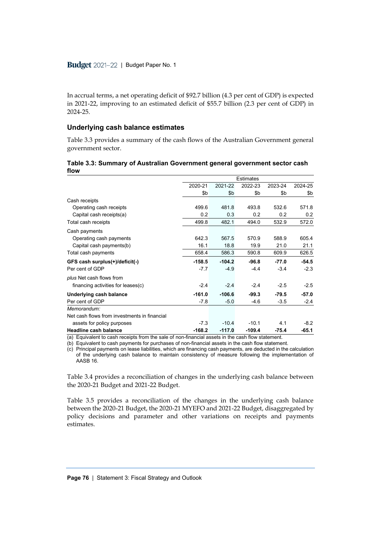In accrual terms, a net operating deficit of \$92.7 billion (4.3 per cent of GDP) is expected in 2021-22, improving to an estimated deficit of \$55.7 billion (2.3 per cent of GDP) in 2024-25.

### **Underlying cash balance estimates**

Table 3.3 provides a summary of the cash flows of the Australian Government general government sector.

|                                              |          |          | <b>Estimates</b> |         |         |
|----------------------------------------------|----------|----------|------------------|---------|---------|
|                                              | 2020-21  | 2021-22  | 2022-23          | 2023-24 | 2024-25 |
|                                              | \$b      | \$b      | \$b              | \$b     | \$b     |
| Cash receipts                                |          |          |                  |         |         |
| Operating cash receipts                      | 499.6    | 481.8    | 493.8            | 532.6   | 571.8   |
| Capital cash receipts(a)                     | 0.2      | 0.3      | 0.2              | 0.2     | 0.2     |
| Total cash receipts                          | 499.8    | 482.1    | 494.0            | 532.9   | 572.0   |
| Cash payments                                |          |          |                  |         |         |
| Operating cash payments                      | 642.3    | 567.5    | 570.9            | 588.9   | 605.4   |
| Capital cash payments(b)                     | 16.1     | 18.8     | 19.9             | 21.0    | 21.1    |
| Total cash payments                          | 658.4    | 586.3    | 590.8            | 609.9   | 626.5   |
| GFS cash surplus(+)/deficit(-)               | $-158.5$ | $-104.2$ | $-96.8$          | $-77.0$ | $-54.5$ |
| Per cent of GDP                              | $-7.7$   | $-4.9$   | $-4.4$           | $-3.4$  | $-2.3$  |
| plus Net cash flows from                     |          |          |                  |         |         |
| financing activities for leases(c)           | $-2.4$   | $-2.4$   | $-2.4$           | $-2.5$  | $-2.5$  |
| Underlying cash balance                      | $-161.0$ | $-106.6$ | $-99.3$          | $-79.5$ | $-57.0$ |
| Per cent of GDP                              | -7.8     | $-5.0$   | $-4.6$           | $-3.5$  | $-2.4$  |
| Memorandum:                                  |          |          |                  |         |         |
| Net cash flows from investments in financial |          |          |                  |         |         |
| assets for policy purposes                   | $-7.3$   | $-10.4$  | $-10.1$          | 4.1     | $-8.2$  |
| <b>Headline cash balance</b>                 | $-168.2$ | $-117.0$ | $-109.4$         | $-75.4$ | $-65.1$ |

### **Table 3.3: Summary of Australian Government general government sector cash flow**

(a) Equivalent to cash receipts from the sale of non-financial assets in the cash flow statement.

(b) Equivalent to cash payments for purchases of non-financial assets in the cash flow statement.

(c) Principal payments on lease liabilities, which are financing cash payments, are deducted in the calculation of the underlying cash balance to maintain consistency of measure following the implementation of AASB 16.

Table 3.4 provides a reconciliation of changes in the underlying cash balance between the 2020-21 Budget and 2021-22 Budget.

Table 3.5 provides a reconciliation of the changes in the underlying cash balance between the 2020-21 Budget, the 2020-21 MYEFO and 2021-22 Budget, disaggregated by policy decisions and parameter and other variations on receipts and payments estimates.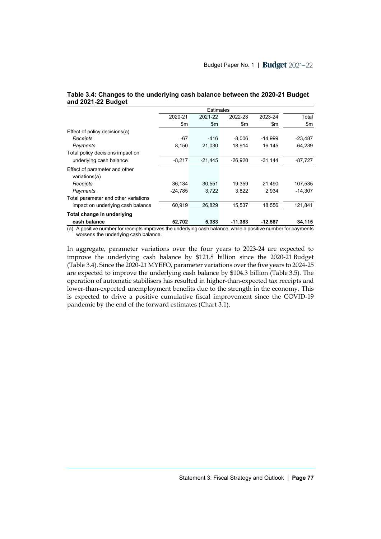|                                                | 2020-21   | 2021-22       | 2022-23   | 2023-24   | Total     |
|------------------------------------------------|-----------|---------------|-----------|-----------|-----------|
|                                                | \$m\$     | $\mathsf{Sm}$ | \$m       | \$m\$     | \$m\$     |
| Effect of policy decisions(a)                  |           |               |           |           |           |
| Receipts                                       | $-67$     | $-416$        | $-8.006$  | $-14.999$ | $-23,487$ |
| Payments                                       | 8,150     | 21,030        | 18,914    | 16,145    | 64,239    |
| Total policy decisions impact on               |           |               |           |           |           |
| underlying cash balance                        | $-8,217$  | $-21,445$     | $-26,920$ | $-31,144$ | $-87,727$ |
| Effect of parameter and other<br>variations(a) |           |               |           |           |           |
| Receipts                                       | 36,134    | 30.551        | 19,359    | 21.490    | 107,535   |
| Payments                                       | $-24.785$ | 3,722         | 3,822     | 2.934     | $-14.307$ |
| Total parameter and other variations           |           |               |           |           |           |
| impact on underlying cash balance              | 60,919    | 26,829        | 15,537    | 18,556    | 121,841   |
| Total change in underlying                     |           |               |           |           |           |
| cash balance                                   | 52,702    | 5,383         | $-11,383$ | $-12,587$ | 34,115    |

**Table 3.4: Changes to the underlying cash balance between the 2020-21 Budget and 2021-22 Budget**

(a) A positive number for receipts improves the underlying cash balance, while a positive number for payments worsens the underlying cash balance.

In aggregate, parameter variations over the four years to 2023-24 are expected to improve the underlying cash balance by \$121.8 billion since the 2020-21 Budget (Table 3.4). Since the 2020-21 MYEFO, parameter variations over the five years to 2024-25 are expected to improve the underlying cash balance by \$104.3 billion (Table 3.5). The operation of automatic stabilisers has resulted in higher-than-expected tax receipts and lower-than-expected unemployment benefits due to the strength in the economy. This is expected to drive a positive cumulative fiscal improvement since the COVID-19 pandemic by the end of the forward estimates (Chart 3.1).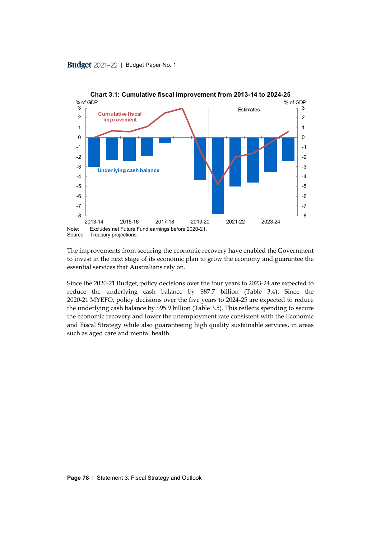

Source: Treasury projections The improvements from securing the economic recovery have enabled the Government

to invest in the next stage of its economic plan to grow the economy and guarantee the essential services that Australians rely on.

Since the 2020-21 Budget, policy decisions over the four years to 2023-24 are expected to reduce the underlying cash balance by \$87.7 billion (Table 3.4). Since the 2020-21 MYEFO, policy decisions over the five years to 2024-25 are expected to reduce the underlying cash balance by \$95.9 billion (Table 3.5). This reflects spending to secure the economic recovery and lower the unemployment rate consistent with the Economic and Fiscal Strategy while also guaranteeing high quality sustainable services, in areas such as aged care and mental health.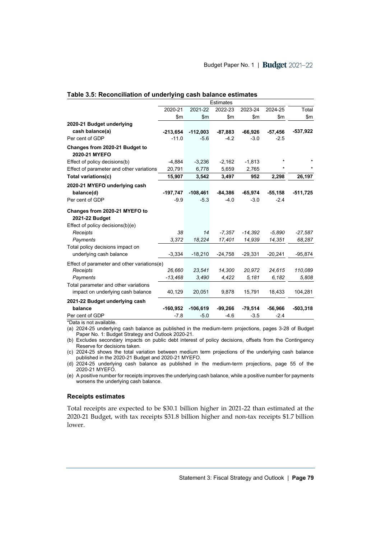|                                                 | <b>Estimates</b> |            |           |           |           |            |
|-------------------------------------------------|------------------|------------|-----------|-----------|-----------|------------|
|                                                 | 2020-21          | 2021-22    | 2022-23   | 2023-24   | 2024-25   | Total      |
|                                                 | \$m              | \$m        | \$m\$     | \$m       | \$m       | \$m        |
| 2020-21 Budget underlying                       |                  |            |           |           |           |            |
| cash balance(a)                                 | $-213,654$       | $-112,003$ | $-87,883$ | $-66,926$ | $-57,456$ | -537,922   |
| Per cent of GDP                                 | $-11.0$          | $-5.6$     | $-4.2$    | $-3.0$    | $-2.5$    |            |
| Changes from 2020-21 Budget to<br>2020-21 MYEFO |                  |            |           |           |           |            |
| Effect of policy decisions(b)                   | $-4,884$         | $-3,236$   | $-2,162$  | $-1,813$  | $\star$   |            |
| Effect of parameter and other variations        | 20,791           | 6,778      | 5,659     | 2,765     | *         |            |
| Total variations(c)                             | 15,907           | 3,542      | 3,497     | 952       | 2,298     | 26,197     |
| 2020-21 MYEFO underlying cash                   |                  |            |           |           |           |            |
| balance(d)                                      | $-197,747$       | $-108,461$ | $-84,386$ | $-65,974$ | $-55,158$ | $-511,725$ |
| Per cent of GDP                                 | $-9.9$           | $-5.3$     | $-4.0$    | $-3.0$    | $-2.4$    |            |
|                                                 |                  |            |           |           |           |            |
| Changes from 2020-21 MYEFO to                   |                  |            |           |           |           |            |
| 2021-22 Budget                                  |                  |            |           |           |           |            |
| Effect of policy decisions(b)(e)                |                  |            |           |           |           |            |
| Receipts                                        | 38               | 14         | $-7,357$  | $-14,392$ | $-5,890$  | $-27,587$  |
| Payments                                        | 3,372            | 18,224     | 17,401    | 14,939    | 14,351    | 68,287     |
| Total policy decisions impact on                |                  |            |           |           |           |            |
| underlying cash balance                         | $-3,334$         | $-18,210$  | $-24,758$ | $-29,331$ | $-20,241$ | $-95,874$  |
| Effect of parameter and other variations(e)     |                  |            |           |           |           |            |
| Receipts                                        | 26.660           | 23,541     | 14,300    | 20,972    | 24,615    | 110,089    |
| Payments                                        | $-13,468$        | 3,490      | 4,422     | 5,181     | 6.182     | 5,808      |
| Total parameter and other variations            |                  |            |           |           |           |            |
| impact on underlying cash balance               | 40,129           | 20,051     | 9,878     | 15,791    | 18,433    | 104,281    |
| 2021-22 Budget underlying cash                  |                  |            |           |           |           |            |
| balance                                         | $-160,952$       | $-106,619$ | $-99,266$ | $-79,514$ | $-56,966$ | $-503,318$ |
| Per cent of GDP                                 | $-7.8$           | $-5.0$     | $-4.6$    | $-3.5$    | $-2.4$    |            |

### **Table 3.5: Reconciliation of underlying cash balance estimates**

\*Data is not available.

(a) 2024-25 underlying cash balance as published in the medium-term projections, pages 3-28 of Budget Paper No. 1: Budget Strategy and Outlook 2020-21.

(b) Excludes secondary impacts on public debt interest of policy decisions, offsets from the Contingency Reserve for decisions taken.

(c) 2024-25 shows the total variation between medium term projections of the underlying cash balance published in the 2020-21 Budget and 2020-21 MYEFO.

(d) 2024-25 underlying cash balance as published in the medium-term projections, page 55 of the 2020-21 MYEFO.

(e) A positive number for receipts improves the underlying cash balance, while a positive number for payments worsens the underlying cash balance.

### **Receipts estimates**

Total receipts are expected to be \$30.1 billion higher in 2021-22 than estimated at the 2020-21 Budget, with tax receipts \$31.8 billion higher and non-tax receipts \$1.7 billion lower.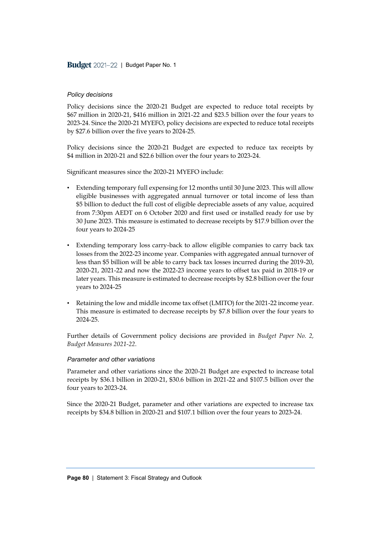### *Policy decisions*

Policy decisions since the 2020-21 Budget are expected to reduce total receipts by \$67 million in 2020-21, \$416 million in 2021-22 and \$23.5 billion over the four years to 2023-24. Since the 2020-21 MYEFO, policy decisions are expected to reduce total receipts by \$27.6 billion over the five years to 2024-25.

Policy decisions since the 2020-21 Budget are expected to reduce tax receipts by \$4 million in 2020-21 and \$22.6 billion over the four years to 2023-24.

Significant measures since the 2020-21 MYEFO include:

- Extending temporary full expensing for 12 months until 30 June 2023. This will allow eligible businesses with aggregated annual turnover or total income of less than \$5 billion to deduct the full cost of eligible depreciable assets of any value, acquired from 7:30pm AEDT on 6 October 2020 and first used or installed ready for use by 30 June 2023. This measure is estimated to decrease receipts by \$17.9 billion over the four years to 2024-25
- Extending temporary loss carry-back to allow eligible companies to carry back tax losses from the 2022-23 income year. Companies with aggregated annual turnover of less than \$5 billion will be able to carry back tax losses incurred during the 2019-20, 2020-21, 2021-22 and now the 2022-23 income years to offset tax paid in 2018-19 or later years. This measure is estimated to decrease receipts by \$2.8 billion over the four years to 2024-25
- Retaining the low and middle income tax offset (LMITO) for the 2021-22 income year. This measure is estimated to decrease receipts by \$7.8 billion over the four years to 2024-25.

Further details of Government policy decisions are provided in *Budget Paper No. 2, Budget Measures 2021-22*.

#### *Parameter and other variations*

Parameter and other variations since the 2020-21 Budget are expected to increase total receipts by \$36.1 billion in 2020-21, \$30.6 billion in 2021-22 and \$107.5 billion over the four years to 2023-24.

Since the 2020-21 Budget, parameter and other variations are expected to increase tax receipts by \$34.8 billion in 2020-21 and \$107.1 billion over the four years to 2023-24.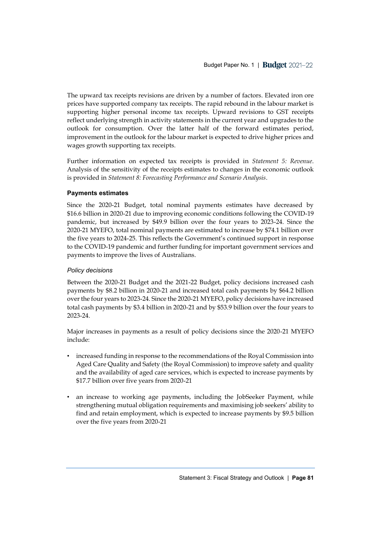The upward tax receipts revisions are driven by a number of factors. Elevated iron ore prices have supported company tax receipts. The rapid rebound in the labour market is supporting higher personal income tax receipts. Upward revisions to GST receipts reflect underlying strength in activity statements in the current year and upgrades to the outlook for consumption. Over the latter half of the forward estimates period, improvement in the outlook for the labour market is expected to drive higher prices and wages growth supporting tax receipts.

Further information on expected tax receipts is provided in *Statement 5: Revenue*. Analysis of the sensitivity of the receipts estimates to changes in the economic outlook is provided in *Statement 8: Forecasting Performance and Scenario Analysis*.

# **Payments estimates**

Since the 2020-21 Budget, total nominal payments estimates have decreased by \$16.6 billion in 2020-21 due to improving economic conditions following the COVID-19 pandemic, but increased by \$49.9 billion over the four years to 2023-24. Since the 2020-21 MYEFO, total nominal payments are estimated to increase by \$74.1 billion over the five years to 2024-25. This reflects the Government's continued support in response to the COVID-19 pandemic and further funding for important government services and payments to improve the lives of Australians.

### *Policy decisions*

Between the 2020-21 Budget and the 2021-22 Budget, policy decisions increased cash payments by \$8.2 billion in 2020-21 and increased total cash payments by \$64.2 billion over the four years to 2023-24. Since the 2020-21 MYEFO, policy decisions have increased total cash payments by \$3.4 billion in 2020-21 and by \$53.9 billion over the four years to 2023-24.

Major increases in payments as a result of policy decisions since the 2020-21 MYEFO include:

- increased funding in response to the recommendations of the Royal Commission into Aged Care Quality and Safety (the Royal Commission) to improve safety and quality and the availability of aged care services, which is expected to increase payments by \$17.7 billion over five years from 2020-21
- an increase to working age payments, including the JobSeeker Payment, while strengthening mutual obligation requirements and maximising job seekers' ability to find and retain employment, which is expected to increase payments by \$9.5 billion over the five years from 2020-21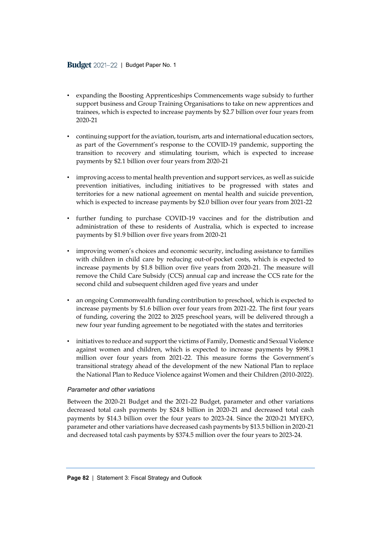- expanding the Boosting Apprenticeships Commencements wage subsidy to further support business and Group Training Organisations to take on new apprentices and trainees, which is expected to increase payments by \$2.7 billion over four years from 2020-21
- continuing support for the aviation, tourism, arts and international education sectors, as part of the Government's response to the COVID-19 pandemic, supporting the transition to recovery and stimulating tourism, which is expected to increase payments by \$2.1 billion over four years from 2020-21
- improving access to mental health prevention and support services, as well as suicide prevention initiatives, including initiatives to be progressed with states and territories for a new national agreement on mental health and suicide prevention, which is expected to increase payments by \$2.0 billion over four years from 2021-22
- further funding to purchase COVID-19 vaccines and for the distribution and administration of these to residents of Australia, which is expected to increase payments by \$1.9 billion over five years from 2020-21
- improving women's choices and economic security, including assistance to families with children in child care by reducing out-of-pocket costs, which is expected to increase payments by \$1.8 billion over five years from 2020-21. The measure will remove the Child Care Subsidy (CCS) annual cap and increase the CCS rate for the second child and subsequent children aged five years and under
- an ongoing Commonwealth funding contribution to preschool, which is expected to increase payments by \$1.6 billion over four years from 2021-22. The first four years of funding, covering the 2022 to 2025 preschool years, will be delivered through a new four year funding agreement to be negotiated with the states and territories
- initiatives to reduce and support the victims of Family, Domestic and Sexual Violence against women and children, which is expected to increase payments by \$998.1 million over four years from 2021-22. This measure forms the Government's transitional strategy ahead of the development of the new National Plan to replace the National Plan to Reduce Violence against Women and their Children (2010-2022).

### *Parameter and other variations*

Between the 2020-21 Budget and the 2021-22 Budget, parameter and other variations decreased total cash payments by \$24.8 billion in 2020-21 and decreased total cash payments by \$14.3 billion over the four years to 2023-24. Since the 2020-21 MYEFO, parameter and other variations have decreased cash payments by \$13.5 billion in 2020-21 and decreased total cash payments by \$374.5 million over the four years to 2023-24.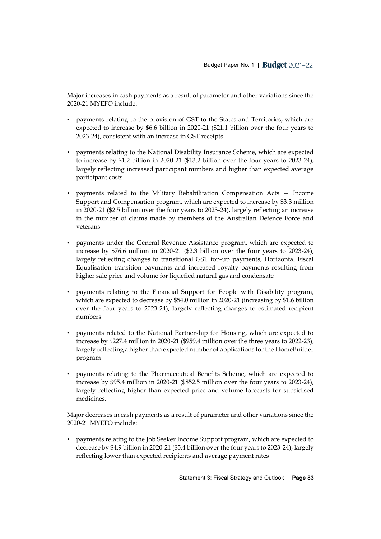Major increases in cash payments as a result of parameter and other variations since the 2020-21 MYEFO include:

- payments relating to the provision of GST to the States and Territories, which are expected to increase by \$6.6 billion in 2020-21 (\$21.1 billion over the four years to 2023-24), consistent with an increase in GST receipts
- payments relating to the National Disability Insurance Scheme, which are expected to increase by \$1.2 billion in 2020-21 (\$13.2 billion over the four years to 2023-24), largely reflecting increased participant numbers and higher than expected average participant costs
- payments related to the Military Rehabilitation Compensation Acts Income Support and Compensation program, which are expected to increase by \$3.3 million in 2020-21 (\$2.5 billion over the four years to 2023-24), largely reflecting an increase in the number of claims made by members of the Australian Defence Force and veterans
- payments under the General Revenue Assistance program, which are expected to increase by \$76.6 million in 2020-21 (\$2.3 billion over the four years to 2023-24), largely reflecting changes to transitional GST top-up payments, Horizontal Fiscal Equalisation transition payments and increased royalty payments resulting from higher sale price and volume for liquefied natural gas and condensate
- payments relating to the Financial Support for People with Disability program, which are expected to decrease by \$54.0 million in 2020-21 (increasing by \$1.6 billion over the four years to 2023-24), largely reflecting changes to estimated recipient numbers
- payments related to the National Partnership for Housing, which are expected to increase by \$227.4 million in 2020-21 (\$959.4 million over the three years to 2022-23), largely reflecting a higher than expected number of applications for the HomeBuilder program
- payments relating to the Pharmaceutical Benefits Scheme, which are expected to increase by \$95.4 million in 2020-21 (\$852.5 million over the four years to 2023-24), largely reflecting higher than expected price and volume forecasts for subsidised medicines.

Major decreases in cash payments as a result of parameter and other variations since the 2020-21 MYEFO include:

• payments relating to the Job Seeker Income Support program, which are expected to decrease by \$4.9 billion in 2020-21 (\$5.4 billion over the four years to 2023-24), largely reflecting lower than expected recipients and average payment rates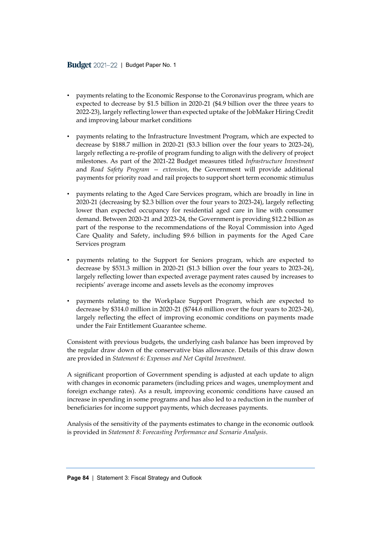- payments relating to the Economic Response to the Coronavirus program, which are expected to decrease by \$1.5 billion in 2020-21 (\$4.9 billion over the three years to 2022-23), largely reflecting lower than expected uptake of the JobMaker Hiring Credit and improving labour market conditions
- payments relating to the Infrastructure Investment Program, which are expected to decrease by \$188.7 million in 2020-21 (\$3.3 billion over the four years to 2023-24), largely reflecting a re-profile of program funding to align with the delivery of project milestones. As part of the 2021-22 Budget measures titled *Infrastructure Investment* and *Road Safety Program — extension*, the Government will provide additional payments for priority road and rail projects to support short term economic stimulus
- payments relating to the Aged Care Services program, which are broadly in line in 2020-21 (decreasing by \$2.3 billion over the four years to 2023-24), largely reflecting lower than expected occupancy for residential aged care in line with consumer demand. Between 2020-21 and 2023-24, the Government is providing \$12.2 billion as part of the response to the recommendations of the Royal Commission into Aged Care Quality and Safety, including \$9.6 billion in payments for the Aged Care Services program
- payments relating to the Support for Seniors program, which are expected to decrease by \$531.3 million in 2020-21 (\$1.3 billion over the four years to 2023-24), largely reflecting lower than expected average payment rates caused by increases to recipients' average income and assets levels as the economy improves
- payments relating to the Workplace Support Program, which are expected to decrease by \$314.0 million in 2020-21 (\$744.6 million over the four years to 2023-24), largely reflecting the effect of improving economic conditions on payments made under the Fair Entitlement Guarantee scheme.

Consistent with previous budgets, the underlying cash balance has been improved by the regular draw down of the conservative bias allowance. Details of this draw down are provided in *Statement 6: Expenses and Net Capital Investment*.

A significant proportion of Government spending is adjusted at each update to align with changes in economic parameters (including prices and wages, unemployment and foreign exchange rates). As a result, improving economic conditions have caused an increase in spending in some programs and has also led to a reduction in the number of beneficiaries for income support payments, which decreases payments.

Analysis of the sensitivity of the payments estimates to change in the economic outlook is provided in *Statement 8: Forecasting Performance and Scenario Analysis*.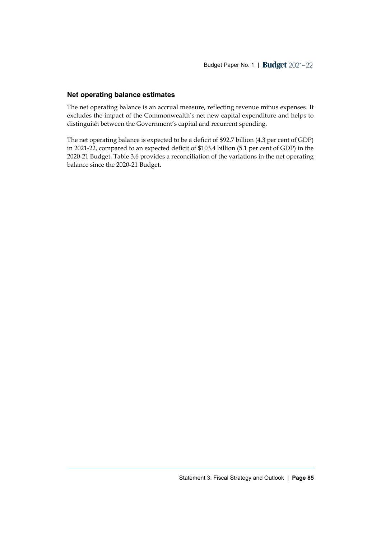# **Net operating balance estimates**

The net operating balance is an accrual measure, reflecting revenue minus expenses. It excludes the impact of the Commonwealth's net new capital expenditure and helps to distinguish between the Government's capital and recurrent spending.

The net operating balance is expected to be a deficit of \$92.7 billion (4.3 per cent of GDP) in 2021-22, compared to an expected deficit of \$103.4 billion (5.1 per cent of GDP) in the 2020-21 Budget. Table 3.6 provides a reconciliation of the variations in the net operating balance since the 2020-21 Budget.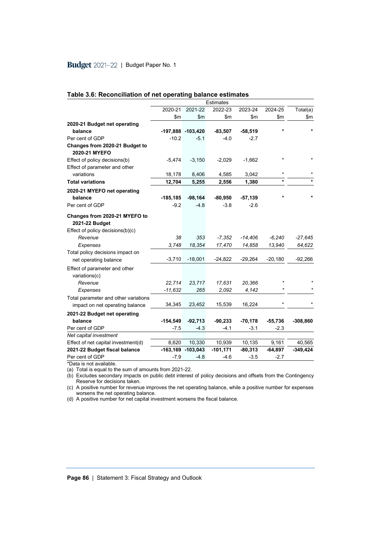|                                                                                     |               |                   | Estimates   |              |               |            |
|-------------------------------------------------------------------------------------|---------------|-------------------|-------------|--------------|---------------|------------|
|                                                                                     | 2020-21       | 2021-22           | 2022-23     | 2023-24      | 2024-25       | Total(a)   |
|                                                                                     | $\mathsf{Sm}$ | $\mathsf{m}$      | \$m         | $\mathsf{m}$ | $\mathsf{Sm}$ | \$m\$      |
| 2020-21 Budget net operating                                                        |               |                   |             |              |               |            |
| balance                                                                             |               | -197,888 -103,420 | $-83,507$   | $-58,519$    | $\star$       |            |
| Per cent of GDP                                                                     | $-10.2$       | $-5.1$            | $-4.0$      | $-2.7$       |               |            |
| Changes from 2020-21 Budget to<br>2020-21 MYEFO                                     |               |                   |             |              |               |            |
| Effect of policy decisions(b)<br>Effect of parameter and other                      | $-5,474$      | $-3,150$          | $-2,029$    | $-1,662$     | $\star$       |            |
| variations                                                                          | 18,178        | 8,406             | 4,585       | 3,042        | $\star$       |            |
| <b>Total variations</b>                                                             | 12,704        | 5,255             | 2,556       | 1,380        | $\star$       |            |
| 2020-21 MYEFO net operating                                                         |               |                   |             |              |               |            |
| balance                                                                             | $-185, 185$   | $-98,164$         | $-80,950$   | $-57,139$    | $\star$       |            |
| Per cent of GDP                                                                     | $-9.2$        | $-4.8$            | $-3.8$      | $-2.6$       |               |            |
| Changes from 2020-21 MYEFO to<br>2021-22 Budget<br>Effect of policy decisions(b)(c) |               |                   |             |              |               |            |
| Revenue                                                                             | 38            | 353               | $-7,352$    | $-14,406$    | $-6,240$      | $-27,645$  |
| Expenses                                                                            | 3,748         | 18,354            | 17,470      | 14,858       | 13,940        | 64,622     |
| Total policy decisions impact on                                                    |               |                   |             |              |               |            |
| net operating balance                                                               | $-3,710$      | $-18,001$         | $-24,822$   | $-29,264$    | $-20,180$     | $-92,266$  |
| Effect of parameter and other<br>variations(c)                                      |               |                   |             |              |               |            |
| Revenue                                                                             | 22,714        | 23,717            | 17,631      | 20,366       |               |            |
| Expenses                                                                            | $-11,632$     | 265               | 2,092       | 4,142        |               |            |
| Total parameter and other variations<br>impact on net operating balance             | 34,345        | 23,452            | 15,539      | 16,224       | $\star$       |            |
| 2021-22 Budget net operating                                                        |               |                   |             |              |               |            |
| balance                                                                             | $-154,549$    | $-92,713$         | $-90,233$   | $-70,178$    | $-55,736$     | $-308,860$ |
| Per cent of GDP                                                                     | -7.5          | $-4.3$            | $-4.1$      | $-3.1$       | $-2.3$        |            |
| Net capital investment                                                              |               |                   |             |              |               |            |
| Effect of net capital investment(d)                                                 | 8,620         | 10,330            | 10,939      | 10,135       | 9,161         | 40,565     |
| 2021-22 Budget fiscal balance                                                       |               | -163,169 -103,043 | $-101, 171$ | $-80,313$    | $-64,897$     | $-349,424$ |
| Per cent of GDP                                                                     | -7.9          | $-4.8$            | $-4.6$      | $-3.5$       | $-2.7$        |            |

### **Table 3.6: Reconciliation of net operating balance estimates**

\*Data is not available.

(a) Total is equal to the sum of amounts from 2021-22.

(b) Excludes secondary impacts on public debt interest of policy decisions and offsets from the Contingency Reserve for decisions taken.

(c) A positive number for revenue improves the net operating balance, while a positive number for expenses worsens the net operating balance.

(d) A positive number for net capital investment worsens the fiscal balance.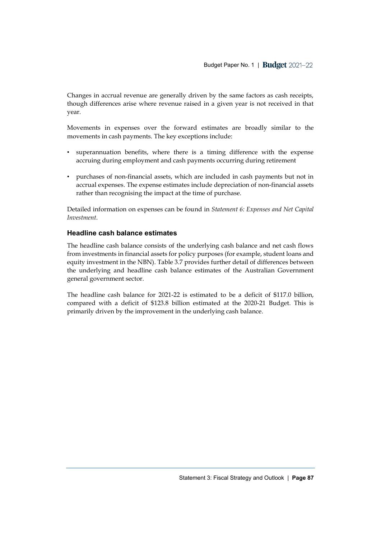Changes in accrual revenue are generally driven by the same factors as cash receipts, though differences arise where revenue raised in a given year is not received in that year.

Movements in expenses over the forward estimates are broadly similar to the movements in cash payments. The key exceptions include:

- superannuation benefits, where there is a timing difference with the expense accruing during employment and cash payments occurring during retirement
- purchases of non-financial assets, which are included in cash payments but not in accrual expenses. The expense estimates include depreciation of non-financial assets rather than recognising the impact at the time of purchase.

Detailed information on expenses can be found in *Statement 6: Expenses and Net Capital Investment*.

# **Headline cash balance estimates**

The headline cash balance consists of the underlying cash balance and net cash flows from investments in financial assets for policy purposes (for example, student loans and equity investment in the NBN). Table 3.7 provides further detail of differences between the underlying and headline cash balance estimates of the Australian Government general government sector.

The headline cash balance for 2021-22 is estimated to be a deficit of \$117.0 billion, compared with a deficit of \$123.8 billion estimated at the 2020-21 Budget. This is primarily driven by the improvement in the underlying cash balance.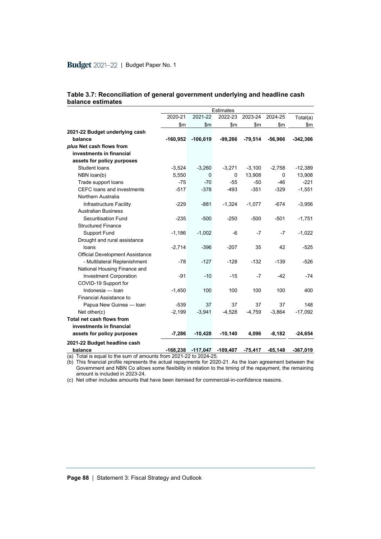|                                                                  |            |                   | <b>Estimates</b> |           |           |            |
|------------------------------------------------------------------|------------|-------------------|------------------|-----------|-----------|------------|
|                                                                  | 2020-21    | 2021-22           | 2022-23          | 2023-24   | 2024-25   | Total(a)   |
|                                                                  | \$m\$      | \$m               | \$m\$            | \$m       | \$m\$     | \$m\$      |
| 2021-22 Budget underlying cash                                   |            |                   |                  |           |           |            |
| balance                                                          | $-160,952$ | $-106,619$        | $-99,266$        | $-79,514$ | $-56,966$ | $-342,366$ |
| plus Net cash flows from                                         |            |                   |                  |           |           |            |
| investments in financial                                         |            |                   |                  |           |           |            |
| assets for policy purposes                                       |            |                   |                  |           |           |            |
| <b>Student loans</b>                                             | $-3,524$   | $-3,260$          | $-3,271$         | $-3,100$  | $-2,758$  | $-12,389$  |
| NBN loan(b)                                                      | 5,550      | 0                 | 0                | 13,908    | $\Omega$  | 13,908     |
| Trade support loans                                              | $-75$      | $-70$             | $-55$            | $-50$     | $-46$     | $-221$     |
| CEFC loans and investments                                       | $-517$     | $-378$            | $-493$           | $-351$    | $-329$    | $-1,551$   |
| Northern Australia                                               |            |                   |                  |           |           |            |
| Infrastructure Facility                                          | $-229$     | $-881$            | $-1,324$         | $-1,077$  | $-674$    | $-3,956$   |
| <b>Australian Business</b>                                       |            |                   |                  |           |           |            |
| <b>Securitisation Fund</b>                                       | $-235$     | $-500$            | $-250$           | $-500$    | $-501$    | $-1,751$   |
| <b>Structured Finance</b>                                        |            |                   |                  |           |           |            |
| <b>Support Fund</b>                                              | $-1,186$   | $-1,002$          | -6               | $-7$      | $-7$      | $-1,022$   |
| Drought and rural assistance                                     |            |                   |                  |           |           |            |
| loans                                                            | $-2,714$   | $-396$            | $-207$           | 35        | 42        | $-525$     |
| <b>Official Development Assistance</b>                           |            |                   |                  |           |           |            |
| - Multilateral Replenishment                                     | $-78$      | $-127$            | $-128$           | $-132$    | $-139$    | $-526$     |
| National Housing Finance and                                     |            |                   |                  |           |           |            |
| <b>Investment Corporation</b>                                    | $-91$      | $-10$             | $-15$            | $-7$      | $-42$     | $-74$      |
| COVID-19 Support for                                             |            |                   |                  |           |           |            |
| Indonesia - Ioan                                                 | $-1,450$   | 100               | 100              | 100       | 100       | 400        |
| <b>Financial Assistance to</b>                                   |            |                   |                  |           |           |            |
| Papua New Guinea - Ioan                                          | $-539$     | 37                | 37               | 37        | 37        | 148        |
| Net other $(c)$                                                  | $-2,199$   | $-3,941$          | $-4,528$         | $-4,759$  | $-3,864$  | $-17,092$  |
| Total net cash flows from                                        |            |                   |                  |           |           |            |
| investments in financial                                         |            |                   |                  |           |           |            |
| assets for policy purposes                                       | $-7,286$   | $-10,428$         | $-10,140$        | 4,096     | $-8,182$  | $-24,654$  |
| 2021-22 Budget headline cash                                     |            |                   |                  |           |           |            |
| balance                                                          |            | -168,238 -117,047 | $-109,407$       | $-75,417$ | $-65,148$ | $-367,019$ |
| (a) Total is equal to the sum of amounts from 2021-22 to 2024-25 |            |                   |                  |           |           |            |

| Table 3.7: Reconciliation of general government underlying and headline cash |  |
|------------------------------------------------------------------------------|--|
| balance estimates                                                            |  |

(a) Total is equal to the sum of amounts from 2021-22 to 2024-25.

(b) This financial profile represents the actual repayments for 2020-21. As the loan agreement between the Government and NBN Co allows some flexibility in relation to the timing of the repayment, the remaining amount is included in 2023-24.

(c) Net other includes amounts that have been itemised for commercial-in-confidence reasons.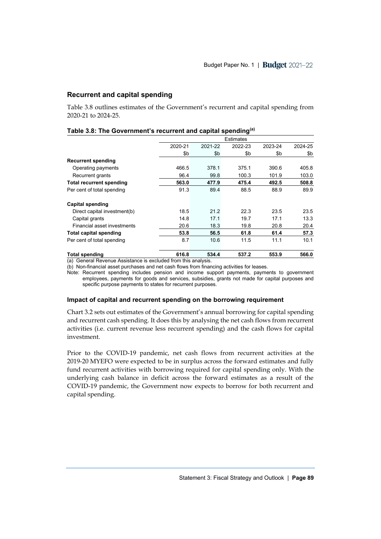# **Recurrent and capital spending**

Table 3.8 outlines estimates of the Government's recurrent and capital spending from 2020-21 to 2024-25.

|                                 | <b>Estimates</b> |         |         |         |         |  |  |
|---------------------------------|------------------|---------|---------|---------|---------|--|--|
|                                 | 2020-21          | 2021-22 | 2022-23 | 2023-24 | 2024-25 |  |  |
|                                 | \$b              | \$b     | \$b     | \$b     | \$b     |  |  |
| <b>Recurrent spending</b>       |                  |         |         |         |         |  |  |
| Operating payments              | 466.5            | 378.1   | 375.1   | 390.6   | 405.8   |  |  |
| Recurrent grants                | 96.4             | 99.8    | 100.3   | 101.9   | 103.0   |  |  |
| <b>Total recurrent spending</b> | 563.0            | 477.9   | 475.4   | 492.5   | 508.8   |  |  |
| Per cent of total spending      | 91.3             | 89.4    | 88.5    | 88.9    | 89.9    |  |  |
| Capital spending                |                  |         |         |         |         |  |  |
| Direct capital investment(b)    | 18.5             | 21.2    | 22.3    | 23.5    | 23.5    |  |  |
| Capital grants                  | 14.8             | 17.1    | 19.7    | 17.1    | 13.3    |  |  |
| Financial asset investments     | 20.6             | 18.3    | 19.8    | 20.8    | 20.4    |  |  |
| <b>Total capital spending</b>   | 53.8             | 56.5    | 61.8    | 61.4    | 57.3    |  |  |
| Per cent of total spending      | 8.7              | 10.6    | 11.5    | 11.1    | 10.1    |  |  |
| <b>Total spending</b>           | 616.8            | 534.4   | 537.2   | 553.9   | 566.0   |  |  |

### **Table 3.8: The Government's recurrent and capital spending(a)**

(a) General Revenue Assistance is excluded from this analysis.

(b) Non-financial asset purchases and net cash flows from financing activities for leases.

Note: Recurrent spending includes pension and income support payments, payments to government employees, payments for goods and services, subsidies, grants not made for capital purposes and specific purpose payments to states for recurrent purposes.

#### **Impact of capital and recurrent spending on the borrowing requirement**

Chart 3.2 sets out estimates of the Government's annual borrowing for capital spending and recurrent cash spending. It does this by analysing the net cash flows from recurrent activities (i.e. current revenue less recurrent spending) and the cash flows for capital investment.

Prior to the COVID-19 pandemic, net cash flows from recurrent activities at the 2019-20 MYEFO were expected to be in surplus across the forward estimates and fully fund recurrent activities with borrowing required for capital spending only. With the underlying cash balance in deficit across the forward estimates as a result of the COVID-19 pandemic, the Government now expects to borrow for both recurrent and capital spending.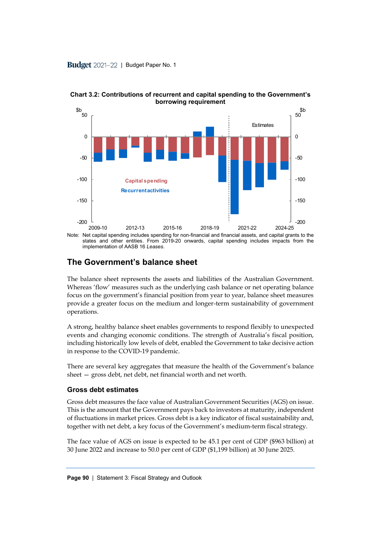

**Chart 3.2: Contributions of recurrent and capital spending to the Government's borrowing requirement**

**The Government's balance sheet**

implementation of AASB 16 *Leases*.

The balance sheet represents the assets and liabilities of the Australian Government. Whereas 'flow' measures such as the underlying cash balance or net operating balance focus on the government's financial position from year to year, balance sheet measures provide a greater focus on the medium and longer-term sustainability of government operations.

A strong, healthy balance sheet enables governments to respond flexibly to unexpected events and changing economic conditions. The strength of Australia's fiscal position, including historically low levels of debt, enabled the Government to take decisive action in response to the COVID-19 pandemic.

There are several key aggregates that measure the health of the Government's balance sheet — gross debt, net debt, net financial worth and net worth.

# **Gross debt estimates**

Gross debt measures the face value of Australian Government Securities (AGS) on issue. This is the amount that the Government pays back to investors at maturity, independent of fluctuations in market prices. Gross debt is a key indicator of fiscal sustainability and, together with net debt, a key focus of the Government's medium-term fiscal strategy.

The face value of AGS on issue is expected to be 45.1 per cent of GDP (\$963 billion) at 30 June 2022 and increase to 50.0 per cent of GDP (\$1,199 billion) at 30 June 2025.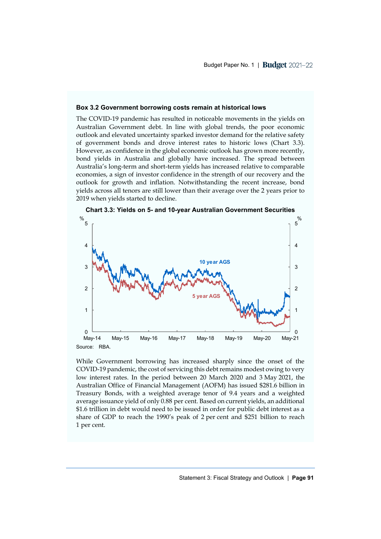#### **Box 3.2 Government borrowing costs remain at historical lows**

The COVID-19 pandemic has resulted in noticeable movements in the yields on Australian Government debt. In line with global trends, the poor economic outlook and elevated uncertainty sparked investor demand for the relative safety of government bonds and drove interest rates to historic lows (Chart 3.3). However, as confidence in the global economic outlook has grown more recently, bond yields in Australia and globally have increased. The spread between Australia's long-term and short-term yields has increased relative to comparable economies, a sign of investor confidence in the strength of our recovery and the outlook for growth and inflation. Notwithstanding the recent increase, bond yields across all tenors are still lower than their average over the 2 years prior to 2019 when yields started to decline.



**Chart 3.3: Yields on 5- and 10-year Australian Government Securities**

While Government borrowing has increased sharply since the onset of the COVID-19 pandemic, the cost of servicing this debt remains modest owing to very low interest rates. In the period between 20 March 2020 and 3 May 2021, the Australian Office of Financial Management (AOFM) has issued \$281.6 billion in Treasury Bonds, with a weighted average tenor of 9.4 years and a weighted average issuance yield of only 0.88 per cent. Based on current yields, an additional \$1.6 trillion in debt would need to be issued in order for public debt interest as a share of GDP to reach the 1990's peak of 2 per cent and \$251 billion to reach 1 per cent.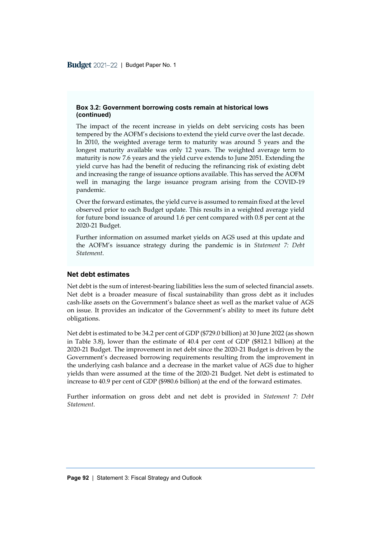### **Box 3.2: Government borrowing costs remain at historical lows (continued)**

The impact of the recent increase in yields on debt servicing costs has been tempered by the AOFM's decisions to extend the yield curve over the last decade. In 2010, the weighted average term to maturity was around 5 years and the longest maturity available was only 12 years. The weighted average term to maturity is now 7.6 years and the yield curve extends to June 2051. Extending the yield curve has had the benefit of reducing the refinancing risk of existing debt and increasing the range of issuance options available. This has served the AOFM well in managing the large issuance program arising from the COVID-19 pandemic.

Over the forward estimates, the yield curve is assumed to remain fixed at the level observed prior to each Budget update. This results in a weighted average yield for future bond issuance of around 1.6 per cent compared with 0.8 per cent at the 2020-21 Budget.

Further information on assumed market yields on AGS used at this update and the AOFM's issuance strategy during the pandemic is in *Statement 7: Debt Statement*.

### **Net debt estimates**

Net debt is the sum of interest-bearing liabilities less the sum of selected financial assets. Net debt is a broader measure of fiscal sustainability than gross debt as it includes cash-like assets on the Government's balance sheet as well as the market value of AGS on issue. It provides an indicator of the Government's ability to meet its future debt obligations.

Net debt is estimated to be 34.2 per cent of GDP (\$729.0 billion) at 30 June 2022 (as shown in Table 3.8), lower than the estimate of 40.4 per cent of GDP (\$812.1 billion) at the 2020-21 Budget. The improvement in net debt since the 2020-21 Budget is driven by the Government's decreased borrowing requirements resulting from the improvement in the underlying cash balance and a decrease in the market value of AGS due to higher yields than were assumed at the time of the 2020-21 Budget. Net debt is estimated to increase to 40.9 per cent of GDP (\$980.6 billion) at the end of the forward estimates.

Further information on gross debt and net debt is provided in *Statement 7: Debt Statement*.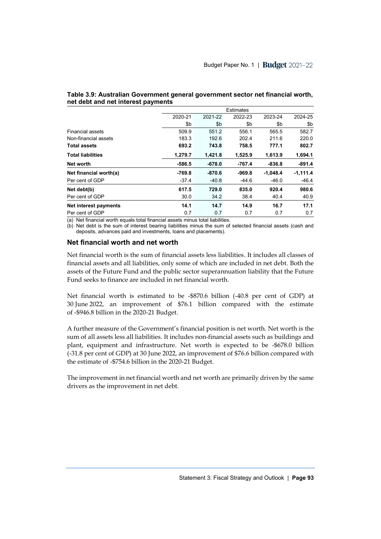|                          |          | Estimates |          |            |            |  |  |  |
|--------------------------|----------|-----------|----------|------------|------------|--|--|--|
|                          | 2020-21  | 2021-22   | 2022-23  | 2023-24    | 2024-25    |  |  |  |
|                          | \$b      | \$b       | \$b      | \$b        | \$b        |  |  |  |
| <b>Financial assets</b>  | 509.9    | 551.2     | 556.1    | 565.5      | 582.7      |  |  |  |
| Non-financial assets     | 183.3    | 192.6     | 202.4    | 211.6      | 220.0      |  |  |  |
| <b>Total assets</b>      | 693.2    | 743.8     | 758.5    | 777.1      | 802.7      |  |  |  |
| <b>Total liabilities</b> | 1,279.7  | 1,421.8   | 1,525.9  | 1,613.9    | 1,694.1    |  |  |  |
| Net worth                | $-586.5$ | $-678.0$  | -767.4   | $-836.8$   | $-891.4$   |  |  |  |
| Net financial worth(a)   | $-769.8$ | $-870.6$  | $-969.8$ | $-1,048.4$ | $-1,111.4$ |  |  |  |
| Per cent of GDP          | $-37.4$  | $-40.8$   | $-44.6$  | $-46.0$    | $-46.4$    |  |  |  |
| Net debt(b)              | 617.5    | 729.0     | 835.0    | 920.4      | 980.6      |  |  |  |
| Per cent of GDP          | 30.0     | 34.2      | 38.4     | 40.4       | 40.9       |  |  |  |
| Net interest payments    | 14.1     | 14.7      | 14.9     | 16.7       | 17.1       |  |  |  |
| Per cent of GDP          | 0.7      | 0.7       | 0.7      | 0.7        | 0.7        |  |  |  |

**Table 3.9: Australian Government general government sector net financial worth, net debt and net interest payments**

(a) Net financial worth equals total financial assets minus total liabilities.

(b) Net debt is the sum of interest bearing liabilities minus the sum of selected financial assets (cash and deposits, advances paid and investments, loans and placements).

### **Net financial worth and net worth**

Net financial worth is the sum of financial assets less liabilities. It includes all classes of financial assets and all liabilities, only some of which are included in net debt. Both the assets of the Future Fund and the public sector superannuation liability that the Future Fund seeks to finance are included in net financial worth.

Net financial worth is estimated to be -\$870.6 billion (-40.8 per cent of GDP) at 30 June 2022, an improvement of \$76.1 billion compared with the estimate of -\$946.8 billion in the 2020-21 Budget.

A further measure of the Government's financial position is net worth. Net worth is the sum of all assets less all liabilities. It includes non-financial assets such as buildings and plant, equipment and infrastructure. Net worth is expected to be -\$678.0 billion (-31.8 per cent of GDP) at 30 June 2022, an improvement of \$76.6 billion compared with the estimate of -\$754.6 billion in the 2020-21 Budget.

The improvement in net financial worth and net worth are primarily driven by the same drivers as the improvement in net debt.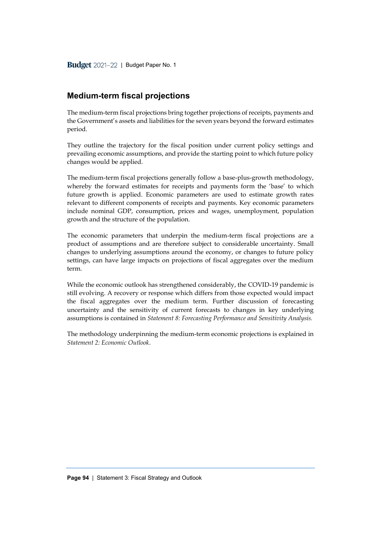# **Medium-term fiscal projections**

The medium-term fiscal projections bring together projections of receipts, payments and the Government's assets and liabilities for the seven years beyond the forward estimates period.

They outline the trajectory for the fiscal position under current policy settings and prevailing economic assumptions, and provide the starting point to which future policy changes would be applied.

The medium-term fiscal projections generally follow a base-plus-growth methodology, whereby the forward estimates for receipts and payments form the 'base' to which future growth is applied. Economic parameters are used to estimate growth rates relevant to different components of receipts and payments. Key economic parameters include nominal GDP, consumption, prices and wages, unemployment, population growth and the structure of the population.

The economic parameters that underpin the medium-term fiscal projections are a product of assumptions and are therefore subject to considerable uncertainty. Small changes to underlying assumptions around the economy, or changes to future policy settings, can have large impacts on projections of fiscal aggregates over the medium term.

While the economic outlook has strengthened considerably, the COVID-19 pandemic is still evolving. A recovery or response which differs from those expected would impact the fiscal aggregates over the medium term. Further discussion of forecasting uncertainty and the sensitivity of current forecasts to changes in key underlying assumptions is contained in *Statement 8: Forecasting Performance and Sensitivity Analysis.*

The methodology underpinning the medium-term economic projections is explained in *Statement 2: Economic Outlook*.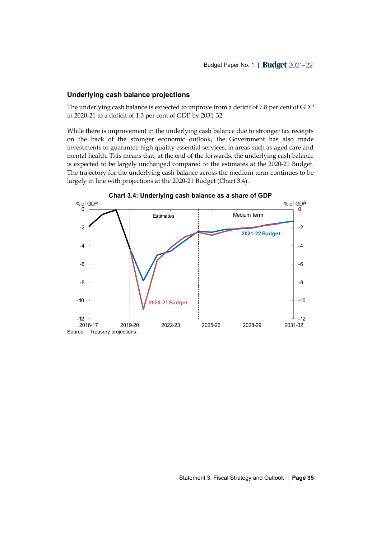### **Underlying cash balance projections**

The underlying cash balance is expected to improve from a deficit of 7.8 per cent of GDP in 2020-21 to a deficit of 1.3 per cent of GDP by 2031-32.

While there is improvement in the underlying cash balance due to stronger tax receipts on the back of the stronger economic outlook, the Government has also made investments to guarantee high quality essential services, in areas such as aged care and mental health. This means that, at the end of the forwards, the underlying cash balance is expected to be largely unchanged compared to the estimates at the 2020-21 Budget. The trajectory for the underlying cash balance across the medium term continues to be largely in line with projections at the 2020-21 Budget (Chart 3.4).

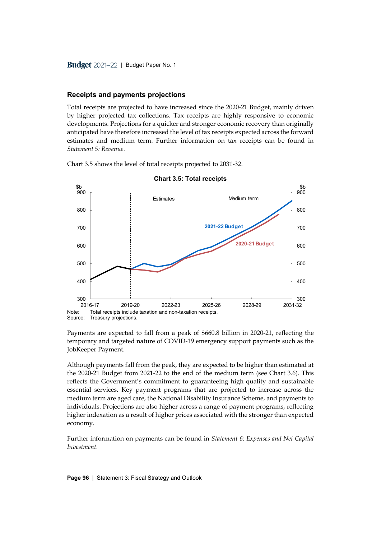### **Receipts and payments projections**

Total receipts are projected to have increased since the 2020-21 Budget, mainly driven by higher projected tax collections. Tax receipts are highly responsive to economic developments. Projections for a quicker and stronger economic recovery than originally anticipated have therefore increased the level of tax receipts expected across the forward estimates and medium term. Further information on tax receipts can be found in *Statement 5: Revenue*.

Chart 3.5 shows the level of total receipts projected to 2031-32.



**Chart 3.5: Total receipts**

Payments are expected to fall from a peak of \$660.8 billion in 2020-21, reflecting the temporary and targeted nature of COVID-19 emergency support payments such as the JobKeeper Payment.

Although payments fall from the peak, they are expected to be higher than estimated at the 2020-21 Budget from 2021-22 to the end of the medium term (see Chart 3.6). This reflects the Government's commitment to guaranteeing high quality and sustainable essential services. Key payment programs that are projected to increase across the medium term are aged care, the National Disability Insurance Scheme, and payments to individuals. Projections are also higher across a range of payment programs, reflecting higher indexation as a result of higher prices associated with the stronger than expected economy.

Further information on payments can be found in *Statement 6: Expenses and Net Capital Investment*.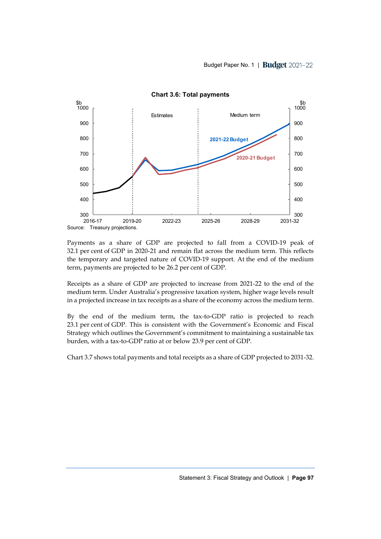

**Chart 3.6: Total payments**

Payments as a share of GDP are projected to fall from a COVID-19 peak of 32.1 per cent of GDP in 2020-21 and remain flat across the medium term. This reflects the temporary and targeted nature of COVID-19 support. At the end of the medium term, payments are projected to be 26.2 per cent of GDP.

Receipts as a share of GDP are projected to increase from 2021-22 to the end of the medium term. Under Australia's progressive taxation system, higher wage levels result in a projected increase in tax receipts as a share of the economy across the medium term.

By the end of the medium term, the tax-to-GDP ratio is projected to reach 23.1 per cent of GDP. This is consistent with the Government's Economic and Fiscal Strategy which outlines the Government's commitment to maintaining a sustainable tax burden, with a tax-to-GDP ratio at or below 23.9 per cent of GDP.

Chart 3.7 shows total payments and total receipts as a share of GDP projected to 2031-32.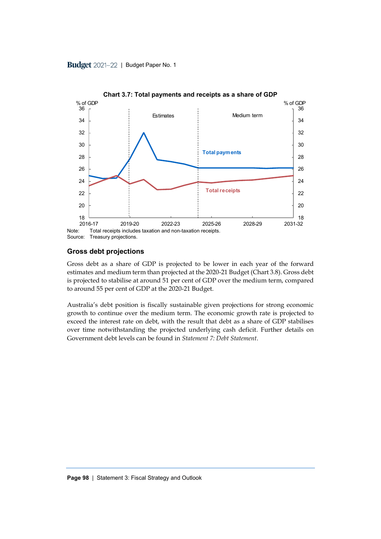

**Chart 3.7: Total payments and receipts as a share of GDP**

### **Gross debt projections**

Gross debt as a share of GDP is projected to be lower in each year of the forward estimates and medium term than projected at the 2020-21 Budget (Chart 3.8). Gross debt is projected to stabilise at around 51 per cent of GDP over the medium term, compared to around 55 per cent of GDP at the 2020-21 Budget.

Australia's debt position is fiscally sustainable given projections for strong economic growth to continue over the medium term. The economic growth rate is projected to exceed the interest rate on debt, with the result that debt as a share of GDP stabilises over time notwithstanding the projected underlying cash deficit. Further details on Government debt levels can be found in *Statement 7: Debt Statement*.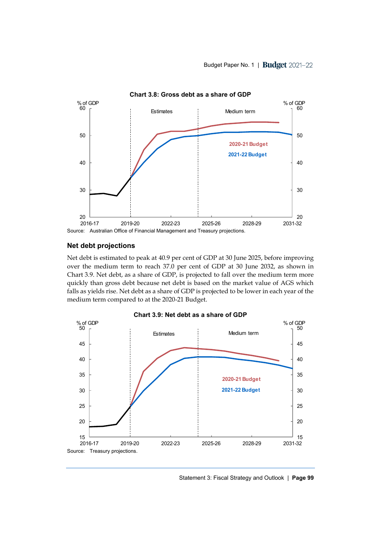

Source: Australian Office of Financial Management and Treasury projections.

### **Net debt projections**

Net debt is estimated to peak at 40.9 per cent of GDP at 30 June 2025, before improving over the medium term to reach 37.0 per cent of GDP at 30 June 2032, as shown in Chart 3.9. Net debt, as a share of GDP, is projected to fall over the medium term more quickly than gross debt because net debt is based on the market value of AGS which falls as yields rise. Net debt as a share of GDP is projected to be lower in each year of the medium term compared to at the 2020-21 Budget.



**Chart 3.9: Net debt as a share of GDP**

Statement 3: Fiscal Strategy and Outlook | **Page 99**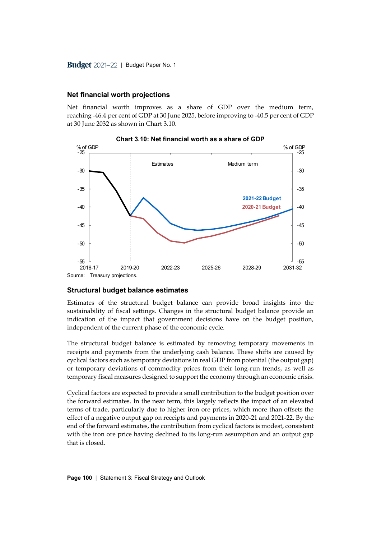# **Net financial worth projections**

Net financial worth improves as a share of GDP over the medium term, reaching -46.4 per cent of GDP at 30 June 2025, before improving to -40.5 per cent of GDP at 30 June 2032 as shown in Chart 3.10.



**Chart 3.10: Net financial worth as a share of GDP**

# **Structural budget balance estimates**

Estimates of the structural budget balance can provide broad insights into the sustainability of fiscal settings. Changes in the structural budget balance provide an indication of the impact that government decisions have on the budget position, independent of the current phase of the economic cycle.

The structural budget balance is estimated by removing temporary movements in receipts and payments from the underlying cash balance. These shifts are caused by cyclical factors such as temporary deviations in real GDP from potential (the output gap) or temporary deviations of commodity prices from their long-run trends, as well as temporary fiscal measures designed to support the economy through an economic crisis.

Cyclical factors are expected to provide a small contribution to the budget position over the forward estimates. In the near term, this largely reflects the impact of an elevated terms of trade, particularly due to higher iron ore prices, which more than offsets the effect of a negative output gap on receipts and payments in 2020-21 and 2021-22. By the end of the forward estimates, the contribution from cyclical factors is modest, consistent with the iron ore price having declined to its long-run assumption and an output gap that is closed.